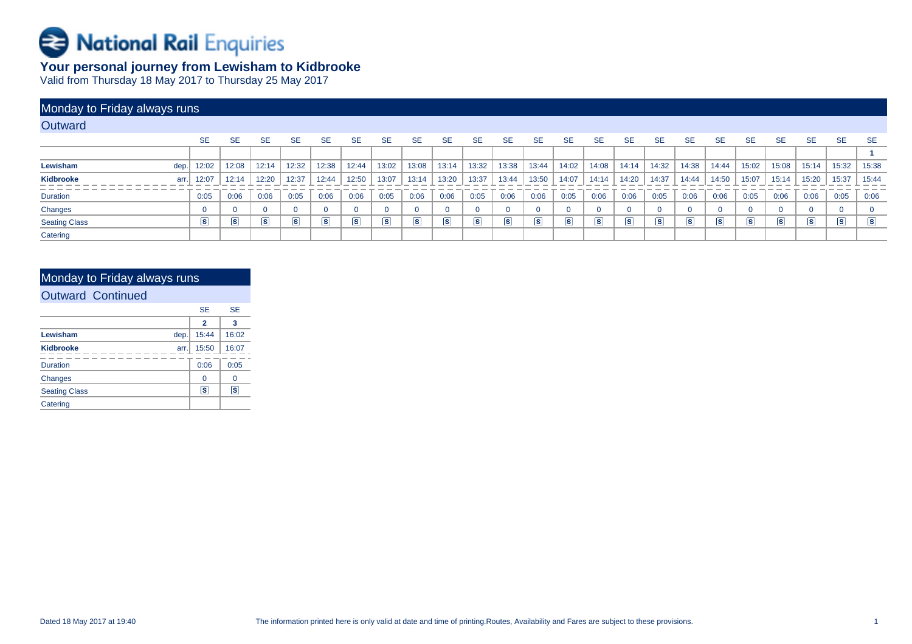

# **Your personal journey from Lewisham to Kidbrooke**

Valid from Thursday 18 May 2017 to Thursday 25 May 2017

| Monday to Friday always runs |      |                      |                         |                      |            |            |            |                      |                      |                      |                   |                      |                      |           |                         |                      |            |            |                 |                         |                      |                      |           |                      |
|------------------------------|------|----------------------|-------------------------|----------------------|------------|------------|------------|----------------------|----------------------|----------------------|-------------------|----------------------|----------------------|-----------|-------------------------|----------------------|------------|------------|-----------------|-------------------------|----------------------|----------------------|-----------|----------------------|
| Outward                      |      |                      |                         |                      |            |            |            |                      |                      |                      |                   |                      |                      |           |                         |                      |            |            |                 |                         |                      |                      |           |                      |
|                              |      | <b>SE</b>            | <b>SE</b>               | <b>SE</b>            | <b>SE</b>  | <b>SE</b>  | <b>SE</b>  | <b>SE</b>            | <b>SE</b>            | <b>SE</b>            | <b>SE</b>         | <b>SE</b>            | <b>SE</b>            | <b>SE</b> | <b>SE</b>               | <b>SE</b>            | <b>SE</b>  | <b>SE</b>  | <b>SE</b>       | <b>SE</b>               | <b>SE</b>            | <b>SE</b>            | <b>SE</b> | <b>SE</b>            |
|                              |      |                      |                         |                      |            |            |            |                      |                      |                      |                   |                      |                      |           |                         |                      |            |            |                 |                         |                      |                      |           |                      |
| Lewisham                     | dep. | 12:02                | 12:08                   | 12:14                | 12:32      | 12:38      | 12:44      | 13:02                | 13:08                | 13:14                | 13:32             | 13:38                | 13:44                | 14:02     | 14:08                   | 14:14                | 14:32      | 14:38      | 14:44           | 15:02                   | 15:08                | 15:14                | 15:32     | 15:38                |
| Kidbrooke                    | arr. | 12:07                | 12:14                   | 12:20                | 12:37      | 12:44      | 12:50      | 13:07                | 13:14                | 13:20                | 13:37             | 13:44                | 13:50                | 14:07     | 14:14                   | 14:20                | 14:37      | 14:44      | 14:50           | 15:07                   | 15:14                | 15:20                | 15:37     | 15:44                |
| <b>Duration</b>              |      | 0:05                 | 0:06                    | 0:06                 | 0:05       | 0:06       | 0:06       | 0:05                 | 0:06                 | 0:06                 | 0:05              | 0:06                 | 0:06                 | 0:05      | 0:06                    | 0:06                 | 0:05       | 0:06       | 0:06            | 0:05                    | 0:06                 | 0:06                 | 0:05      | 0:06                 |
| Changes                      |      | $\Omega$             | $\Omega$                | $\Omega$             |            |            |            |                      |                      |                      | $\Omega$          |                      | $\Omega$             |           |                         | $\mathbf{0}$         |            |            |                 |                         |                      | $\Omega$             |           | $\mathbf{0}$         |
| <b>Seating Class</b>         |      | $\boxed{\mathbf{s}}$ | $\overline{\mathbf{s}}$ | $\boxed{\mathbf{s}}$ | $\sqrt{S}$ | $\sqrt{s}$ | $\sqrt{s}$ | $\boxed{\mathbf{s}}$ | $\boxed{\mathbf{s}}$ | $\boxed{\mathbf{s}}$ | $\vert$ s $\vert$ | $\boxed{\mathbf{s}}$ | $\boxed{\mathbf{s}}$ | $\vert$ S | $\overline{\mathbf{s}}$ | $\boxed{\mathbf{S}}$ | $\sqrt{s}$ | $\sqrt{s}$ | $\vert s \vert$ | $\overline{\mathbf{s}}$ | $\boxed{\mathbf{S}}$ | $\boxed{\mathbf{s}}$ | s         | $\boxed{\mathbf{S}}$ |
| Catering                     |      |                      |                         |                      |            |            |            |                      |                      |                      |                   |                      |                      |           |                         |                      |            |            |                 |                         |                      |                      |           |                      |

# Monday to Friday always runs

### Outward Continued

|                      |      | <b>SE</b> | <b>SE</b> |
|----------------------|------|-----------|-----------|
|                      |      | 2         | 3         |
| Lewisham             | dep. | 15:44     | 16:02     |
| <b>Kidbrooke</b>     | arr. | 15:50     | 16:07     |
| <b>Duration</b>      |      | 0:06      | 0:05      |
| Changes              |      | 0         | 0         |
| <b>Seating Class</b> |      | ls.       | s         |
| Catering             |      |           |           |